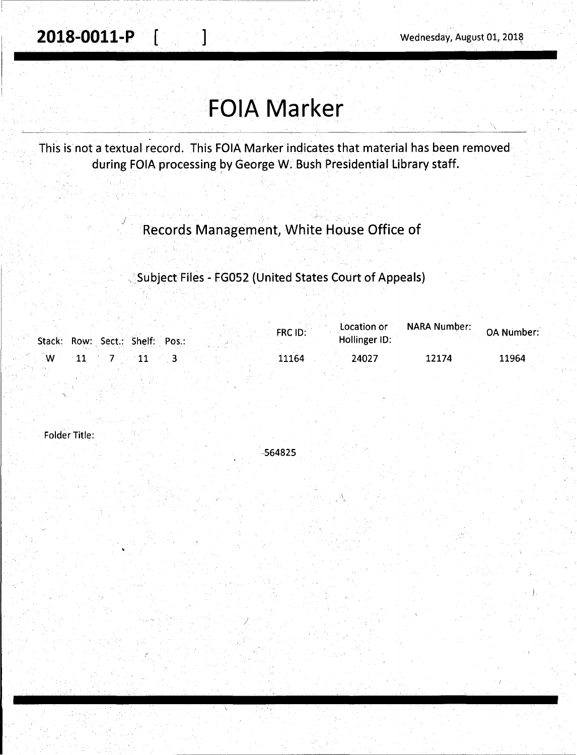j

# **FOIA Marker**

This is not a textual record. This FOIA Marker indicates that material has been removed during FOIA processing by George W. Bush Presidential Library staff.

### Records Management, White House Office of

### . ~Subject Files - FG052 (United States Court.of Appeals)

|   | Stack: Row: Sect.: Shelf: Pos.: | FRC ID: | Location or<br>Hollinger ID: | <b>NARA Number:</b> | <b>OA Number:</b> |
|---|---------------------------------|---------|------------------------------|---------------------|-------------------|
| W |                                 | 11164   | 24027                        | 12174               | 11964             |

Folder Title:

-564825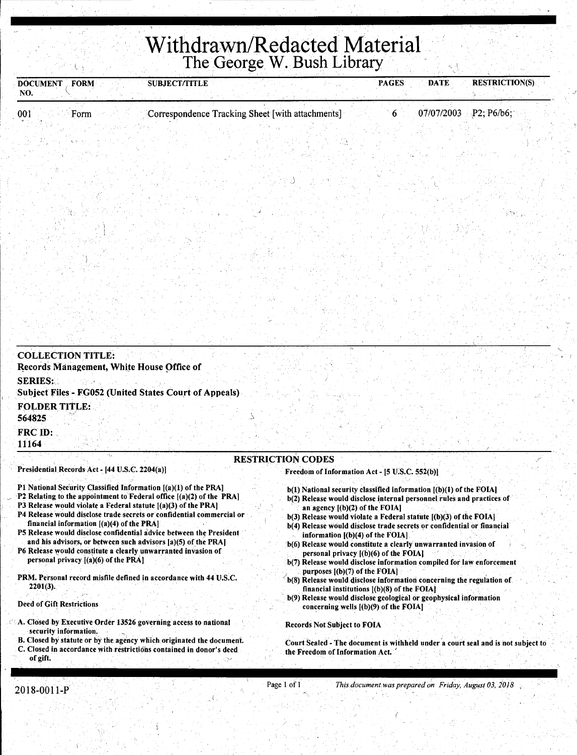# **Withdrawn/Redacted Material**  The George W. Bush Library

| <b>SUBJECT/TITLE</b><br><b>DOCUMENT</b><br>FORM<br>NO.                                                                                                                                                                                                                                                                                                                                                                                                                                                                                                                                                                                                                                                      |                                                  | <b>PAGES</b>                                                                                                                                                                                                                                                                                                                                                                                                                                                                                                                                                                                                                                                                                                                                                                                                                                  | <b>DATE</b> | <b>RESTRICTION(S)</b> |
|-------------------------------------------------------------------------------------------------------------------------------------------------------------------------------------------------------------------------------------------------------------------------------------------------------------------------------------------------------------------------------------------------------------------------------------------------------------------------------------------------------------------------------------------------------------------------------------------------------------------------------------------------------------------------------------------------------------|--------------------------------------------------|-----------------------------------------------------------------------------------------------------------------------------------------------------------------------------------------------------------------------------------------------------------------------------------------------------------------------------------------------------------------------------------------------------------------------------------------------------------------------------------------------------------------------------------------------------------------------------------------------------------------------------------------------------------------------------------------------------------------------------------------------------------------------------------------------------------------------------------------------|-------------|-----------------------|
| 001<br>Form                                                                                                                                                                                                                                                                                                                                                                                                                                                                                                                                                                                                                                                                                                 | Correspondence Tracking Sheet [with attachments] | 6                                                                                                                                                                                                                                                                                                                                                                                                                                                                                                                                                                                                                                                                                                                                                                                                                                             | 07/07/2003  | P2; P6/b6;            |
|                                                                                                                                                                                                                                                                                                                                                                                                                                                                                                                                                                                                                                                                                                             |                                                  |                                                                                                                                                                                                                                                                                                                                                                                                                                                                                                                                                                                                                                                                                                                                                                                                                                               |             |                       |
|                                                                                                                                                                                                                                                                                                                                                                                                                                                                                                                                                                                                                                                                                                             |                                                  |                                                                                                                                                                                                                                                                                                                                                                                                                                                                                                                                                                                                                                                                                                                                                                                                                                               |             |                       |
|                                                                                                                                                                                                                                                                                                                                                                                                                                                                                                                                                                                                                                                                                                             |                                                  |                                                                                                                                                                                                                                                                                                                                                                                                                                                                                                                                                                                                                                                                                                                                                                                                                                               |             |                       |
|                                                                                                                                                                                                                                                                                                                                                                                                                                                                                                                                                                                                                                                                                                             |                                                  |                                                                                                                                                                                                                                                                                                                                                                                                                                                                                                                                                                                                                                                                                                                                                                                                                                               |             |                       |
|                                                                                                                                                                                                                                                                                                                                                                                                                                                                                                                                                                                                                                                                                                             |                                                  |                                                                                                                                                                                                                                                                                                                                                                                                                                                                                                                                                                                                                                                                                                                                                                                                                                               |             |                       |
|                                                                                                                                                                                                                                                                                                                                                                                                                                                                                                                                                                                                                                                                                                             |                                                  |                                                                                                                                                                                                                                                                                                                                                                                                                                                                                                                                                                                                                                                                                                                                                                                                                                               |             |                       |
|                                                                                                                                                                                                                                                                                                                                                                                                                                                                                                                                                                                                                                                                                                             |                                                  |                                                                                                                                                                                                                                                                                                                                                                                                                                                                                                                                                                                                                                                                                                                                                                                                                                               |             |                       |
|                                                                                                                                                                                                                                                                                                                                                                                                                                                                                                                                                                                                                                                                                                             |                                                  |                                                                                                                                                                                                                                                                                                                                                                                                                                                                                                                                                                                                                                                                                                                                                                                                                                               |             |                       |
|                                                                                                                                                                                                                                                                                                                                                                                                                                                                                                                                                                                                                                                                                                             |                                                  |                                                                                                                                                                                                                                                                                                                                                                                                                                                                                                                                                                                                                                                                                                                                                                                                                                               |             |                       |
|                                                                                                                                                                                                                                                                                                                                                                                                                                                                                                                                                                                                                                                                                                             |                                                  |                                                                                                                                                                                                                                                                                                                                                                                                                                                                                                                                                                                                                                                                                                                                                                                                                                               |             |                       |
|                                                                                                                                                                                                                                                                                                                                                                                                                                                                                                                                                                                                                                                                                                             |                                                  |                                                                                                                                                                                                                                                                                                                                                                                                                                                                                                                                                                                                                                                                                                                                                                                                                                               |             |                       |
|                                                                                                                                                                                                                                                                                                                                                                                                                                                                                                                                                                                                                                                                                                             |                                                  |                                                                                                                                                                                                                                                                                                                                                                                                                                                                                                                                                                                                                                                                                                                                                                                                                                               |             |                       |
|                                                                                                                                                                                                                                                                                                                                                                                                                                                                                                                                                                                                                                                                                                             |                                                  |                                                                                                                                                                                                                                                                                                                                                                                                                                                                                                                                                                                                                                                                                                                                                                                                                                               |             |                       |
|                                                                                                                                                                                                                                                                                                                                                                                                                                                                                                                                                                                                                                                                                                             |                                                  |                                                                                                                                                                                                                                                                                                                                                                                                                                                                                                                                                                                                                                                                                                                                                                                                                                               |             |                       |
|                                                                                                                                                                                                                                                                                                                                                                                                                                                                                                                                                                                                                                                                                                             |                                                  |                                                                                                                                                                                                                                                                                                                                                                                                                                                                                                                                                                                                                                                                                                                                                                                                                                               |             |                       |
| Records Management, White House Office of<br><b>SERIES:</b><br><b>Subject Files - FG052 (United States Court of Appeals)</b><br><b>FOLDER TITLE:</b><br>564825<br>FRC ID:<br>11164                                                                                                                                                                                                                                                                                                                                                                                                                                                                                                                          |                                                  |                                                                                                                                                                                                                                                                                                                                                                                                                                                                                                                                                                                                                                                                                                                                                                                                                                               |             |                       |
|                                                                                                                                                                                                                                                                                                                                                                                                                                                                                                                                                                                                                                                                                                             | <b>RESTRICTION CODES</b>                         |                                                                                                                                                                                                                                                                                                                                                                                                                                                                                                                                                                                                                                                                                                                                                                                                                                               |             |                       |
| Presidential Records Act - [44 U.S.C. 2204(a)]                                                                                                                                                                                                                                                                                                                                                                                                                                                                                                                                                                                                                                                              |                                                  | Freedom of Information Act - [5 U.S.C. 552(b)]                                                                                                                                                                                                                                                                                                                                                                                                                                                                                                                                                                                                                                                                                                                                                                                                |             |                       |
| P1 National Security Classified Information [(a)(1) of the PRA]<br>P2 Relating to the appointment to Federal office [(a)(2) of the PRA]<br>P3 Release would violate a Federal statute [(a)(3) of the PRA]<br>P4 Release would disclose trade secrets or confidential commercial or<br>financial information $[(a)(4)$ of the PRA<br>P5 Release would disclose confidential advice between the President<br>and his advisors, or between such advisors [a](5) of the PRA]<br>P6 Release would constitute a clearly unwarranted invasion of<br>personal privacy $[(a)(6)$ of the PRA]<br>PRM. Personal record misfile defined in accordance with 44 U.S.C.<br>$2201(3)$ .<br><b>Deed of Gift Restrictions</b> |                                                  | b(1) National security classified information [(b)(1) of the FOIA]<br>b(2) Release would disclose internal personnel rules and practices of<br>an agency $[(b)(2)$ of the FOIA]<br>$b(3)$ Release would violate a Federal statute $(a)(3)$ of the FOIA.<br>b(4) Release would disclose trade secrets or confidential or financial<br>information $[(b)(4)$ of the FOIA].<br>b(6) Release would constitute a clearly unwarranted invasion of<br>personal privacy $[(b)(6)$ of the FOIA.<br>b(7) Release would disclose information compiled for law enforcement<br>purposes $(a)$ [(b)(7) of the FOIA]<br>b(8) Release would disclose information concerning the regulation of<br>financial institutions $[(b)(8)$ of the FOIA]<br>b(9) Release would disclose geological or geophysical information<br>concerning wells $(6)(9)$ of the FOIA] |             |                       |
| $\leq$ A. Closed by Executive Order 13526 governing access to national                                                                                                                                                                                                                                                                                                                                                                                                                                                                                                                                                                                                                                      |                                                  | <b>Records Not Subject to FOIA</b>                                                                                                                                                                                                                                                                                                                                                                                                                                                                                                                                                                                                                                                                                                                                                                                                            |             |                       |

 $\leq$  A. Closed by Executive Order 13526 governing access to national security information.

- B. Closed by statute or by the agency which originated the document.
- C. Closed in accordance with restrictions contained in donor's deed of gift.

the Freedom of Information Act. '

Court Sealed - The document is withheld under a court seal and is not subject to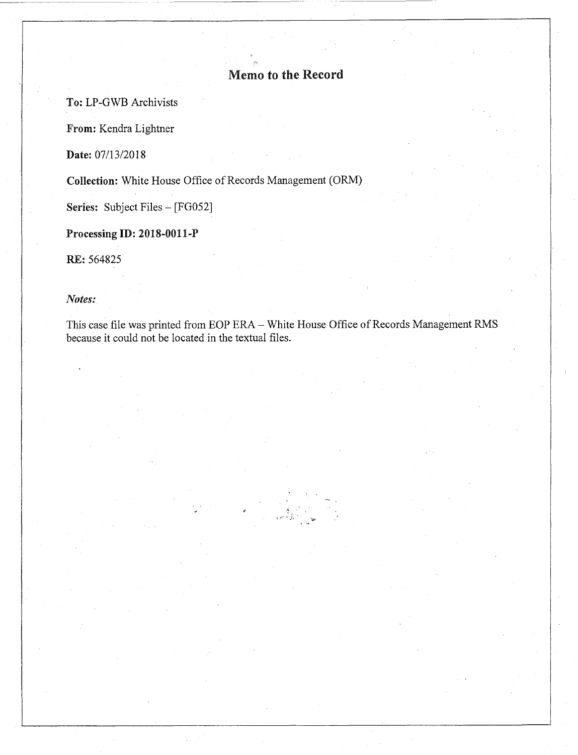### Memo to the Record

To: LP-GWB Archivists

From: Kendra Lightner

**Date:** 07/13/2018

Collection: White House Office of Records Management (ORM)

Series: Subject Files - [FG052]

Processing ID: 2018-0011-P

RE:564825

#### *Notes:*

This case file was printed from EOP ERA- White House Office of Records Management RMS because it could not be located in the textual files.

> $\hat{\mathbf{z}}$ ~ .,.,, , .. *.f,* ' "tu--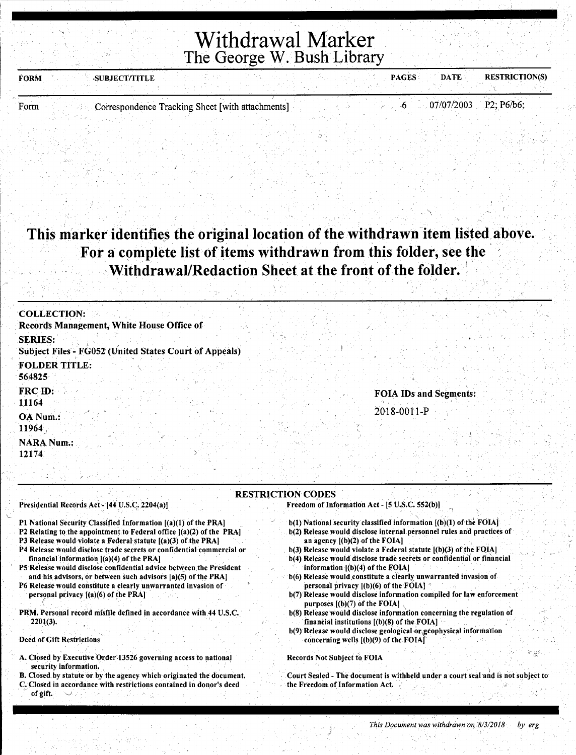### Withdrawal Marker The George W. Bush Library

| <b>FORM</b><br><b>SUBJECT/TITLE</b>                      | <b>RESTRICTION(S)</b><br><b>DATE</b><br><b>PAGES</b> |
|----------------------------------------------------------|------------------------------------------------------|
|                                                          |                                                      |
| Correspondence Tracking Sheet [with attachments]<br>Form | $07/07/2003$ P2; P6/b6;                              |

J

This marker identifies the original location of the withdrawn item listed above. For a complete list of items withdrawn from this folder, see the Withdrawal/Redaction Sheet at the front of the folder.

| <b>COLLECTION:</b>                                                              |                               |
|---------------------------------------------------------------------------------|-------------------------------|
| Records Management, White House Office of                                       |                               |
| <b>SERIES:</b><br><b>Subject Files - FG052 (United States Court of Appeals)</b> |                               |
| <b>FOLDER TITLE:</b><br>564825                                                  |                               |
| FRC ID:<br>11164                                                                | <b>FOIA IDs and Segments:</b> |
| OA Num.:<br>11964                                                               | 2018-0011-P                   |
| <b>NARA Num.:</b><br>12174                                                      |                               |

#### RESTRICTION CODES

Presidential Records Act - [44 U.S.C. 2204(a)]

Pl National Security Classified Information [(a)(l) of the PRA)

- P2 Relating to the appointment to Federal office  $[(a)(2)$  of the PRA)
- P3 Release would violate a Federal statute [(a)(3) of the PRA]
- P4 Release would disclose trade secrets or confidential commercial or financial information  $[(a)(4)$  of the PRA]
- P5 Release would disclose confidential advice between the President and his advisors, or between such advisors [a)(S) of the PRA)
- P6 Release would constitute a clearly unwarranted invasion of personal privacy  $[(a)(6)$  of the PRA]
- PRM. Personal record misfile defined in accordance with 44 U.S.C. 2201(3).

#### Deed of Gift Restrictions

- A. Closed by Executive Order 13526 governing access to national security information.
- B. Closed by statute or by the agency which originated the document.
- Closed in accordance with restrictions contained in donor's deed of gift.
- Freedom of Information Act  $[5$  U.S.C. 552(b)]
	- $b(1)$  National security classified information  $[(b)(1)$  of the FOIA]
	- b(2) Release would disclose internal personnel rules and practices of an agency  $[(b)(2)$  of the FOIA]
	- b(3) Release would violate a Federal statute  $[(b)(3)$  of the FOIA]
	- b(4) Release would disclose trade secrets or confidential or financial information [(b)(4) of the FOIA)
	- b(6) Release would constitute a clearly unwarranted invasion of personal privacy [(b)(6) of the FOIA]
	- b(7) Release would disclose information compiled for law enforcement purposes  $[(b)(7)$  of the FOIA]
	- b(8) Release would disclose information concerning the regulation of financial institutions [(b)(8) of the FOIA)
	- b(9) Release would disclose geological or geophysical information concerning wells  $($ (b) $(9)$  of the FOIA $)$

#### Records Not Subject to FOIA

Court Sealed - The document is withheld under a court seal and is not subject to the Freedom of Information Act.